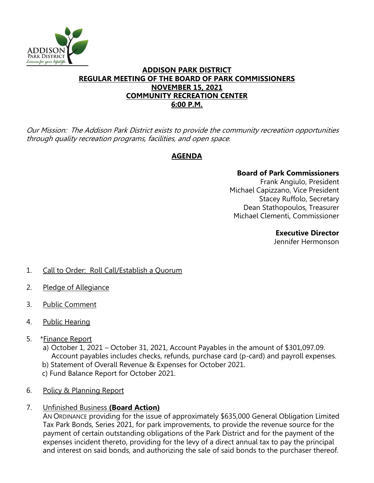

## **ADDISON PARK DISTRICT REGULAR MEETING OF THE BOARD OF PARK COMMISSIONERS NOVEMBER 15, 2021 COMMUNITY RECREATION CENTER 6:00 P.M.**

Our Mission: The Addison Park District exists to provide the community recreation opportunities through quality recreation programs, facilities, and open space.

# **AGENDA**

## **Board of Park Commissioners**

Frank Angiulo, President Michael Capizzano, Vice President Stacey Ruffolo, Secretary Dean Stathopoulos, Treasurer Michael Clementi, Commissioner

#### **Executive Director**

Jennifer Hermonson

- 1. Call to Order: Roll Call/Establish a Quorum
- 2. Pledge of Allegiance
- 3. Public Comment
- 4. Public Hearing
- 5. \*Finance Report
	- a) October 1, 2021 October 31, 2021, Account Payables in the amount of \$301,097.09. Account payables includes checks, refunds, purchase card (p-card) and payroll expenses.
	- b) Statement of Overall Revenue & Expenses for October 2021.
	- c) Fund Balance Report for October 2021.
- 6. Policy & Planning Report
- 7. Unfinished Business **(Board Action)**

AN ORDINANCE providing for the issue of approximately \$635,000 General Obligation Limited Tax Park Bonds, Series 2021, for park improvements, to provide the revenue source for the payment of certain outstanding obligations of the Park District and for the payment of the expenses incident thereto, providing for the levy of a direct annual tax to pay the principal and interest on said bonds, and authorizing the sale of said bonds to the purchaser thereof.